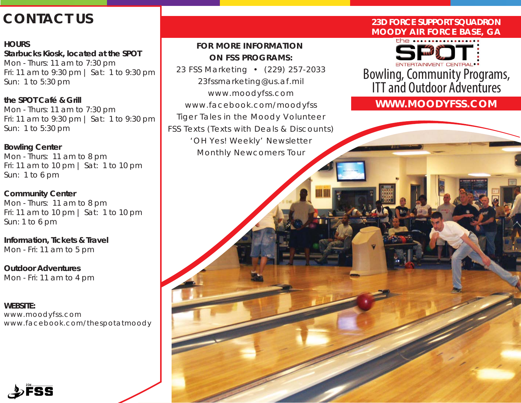# **CONTACT US**

## **HOURS**

**Starbucks Kiosk, located at the SPOT** Mon - Thurs: 11 am to 7:30 pm Fri: 11 am to 9:30 pm | Sat: 1 to 9:30 pm Sun: 1 to 5:30 pm

**the SPOT Café & Grill** Mon - Thurs: 11 am to 7:30 pm Fri: 11 am to 9:30 pm | Sat: 1 to 9:30 pm Sun: 1 to 5:30 pm

**Bowling Center**

Mon - Thurs: 11 am to 8 pm Fri: 11 am to 10 pm | Sat: 1 to 10 pm Sun: 1 to 6 pm

**Community Center** Mon - Thurs: 11 am to 8 pm Fri: 11 am to 10 pm | Sat: 1 to 10 pm Sun: 1 to 6 pm

**Information, Tickets & Travel** Mon - Fri: 11 am to 5 pm

**Outdoor Adventures** Mon - Fri: 11 am to 4 pm

**WEBSITE:** www.moodyfss.com www.facebook.com/thespotatmoody

## *FOR MORE INFORMATION ON FSS PROGRAMS:*

*23 FSS Marketing • (229) 257-2033 23fssmarketing@us.af.mil www.moodyfss.com www.facebook.com/moodyfss Tiger Tales in the Moody Volunteer FSS Texts (Texts with Deals & Discounts) 'OH Yes! Weekly' Newsletter Monthly Newcomers Tour*

## **23D FORCE SUPPORT SQUADRON MOODY AIR FORCE BASE, GA**

the  $\cdots$ 

Bowling, Community Programs, ITT and Outdoor Adventures

**WWW.MOODYFSS.COM**